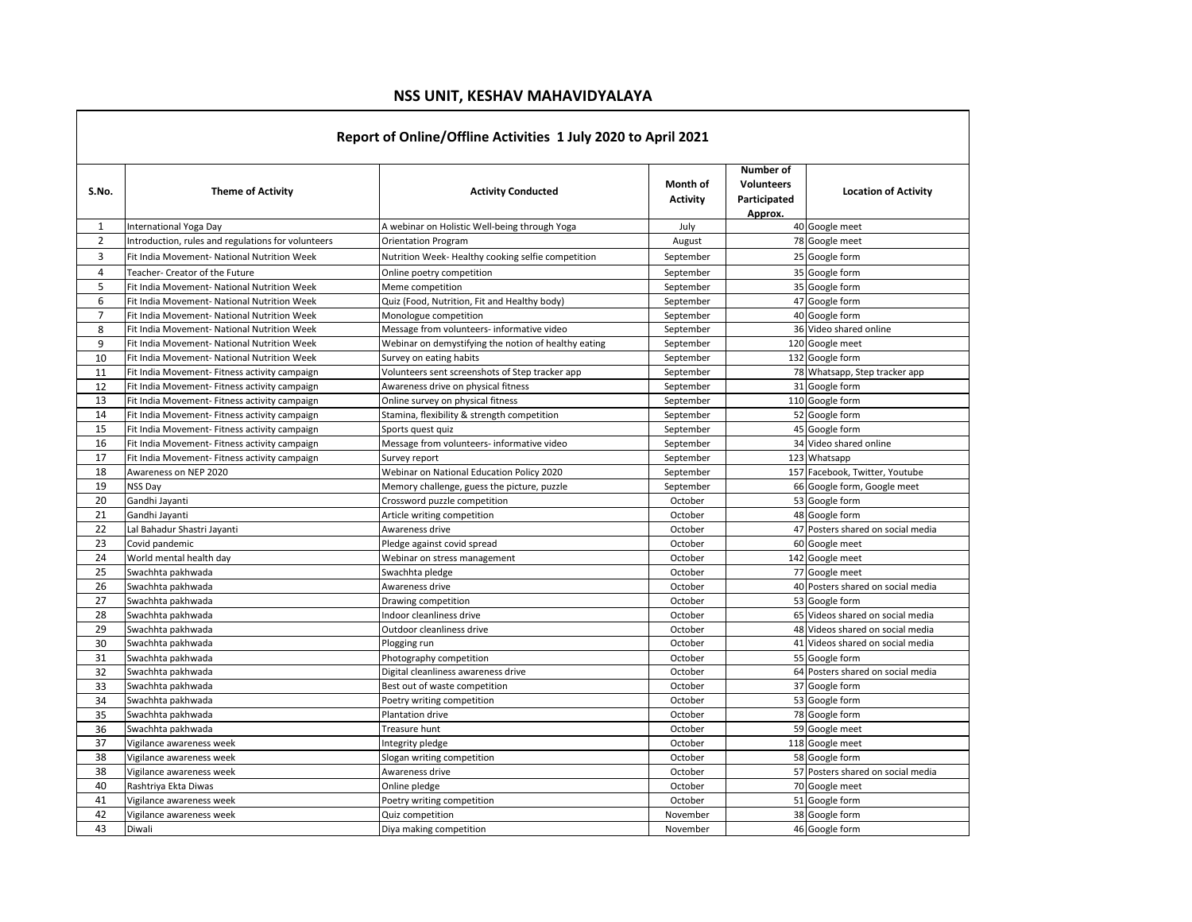## **NSS UNIT, KESHAV MAHAVIDYALAYA**

| Report of Online/Offline Activities 1 July 2020 to April 2021 |                                                    |                                                      |                      |                                                           |                                   |  |  |
|---------------------------------------------------------------|----------------------------------------------------|------------------------------------------------------|----------------------|-----------------------------------------------------------|-----------------------------------|--|--|
| S.No.                                                         | <b>Theme of Activity</b>                           | <b>Activity Conducted</b>                            | Month of<br>Activity | Number of<br><b>Volunteers</b><br>Participated<br>Approx. | <b>Location of Activity</b>       |  |  |
| $\mathbf{1}$                                                  | International Yoga Day                             | A webinar on Holistic Well-being through Yoga        | July                 |                                                           | 40 Google meet                    |  |  |
| $\overline{2}$                                                | Introduction, rules and regulations for volunteers | <b>Orientation Program</b>                           | August               |                                                           | 78 Google meet                    |  |  |
| 3                                                             | Fit India Movement- National Nutrition Week        | Nutrition Week-Healthy cooking selfie competition    | September            |                                                           | 25 Google form                    |  |  |
| $\overline{4}$                                                | Teacher- Creator of the Future                     | Online poetry competition                            | September            |                                                           | 35 Google form                    |  |  |
| 5                                                             | Fit India Movement- National Nutrition Week        | Meme competition                                     | September            |                                                           | 35 Google form                    |  |  |
| 6                                                             | Fit India Movement- National Nutrition Week        | Quiz (Food, Nutrition, Fit and Healthy body)         | September            |                                                           | 47 Google form                    |  |  |
| $\overline{7}$                                                | Fit India Movement- National Nutrition Week        | Monologue competition                                | September            |                                                           | 40 Google form                    |  |  |
| 8                                                             | Fit India Movement- National Nutrition Week        | Message from volunteers- informative video           | September            |                                                           | 36 Video shared online            |  |  |
| 9                                                             | Fit India Movement- National Nutrition Week        | Webinar on demystifying the notion of healthy eating | September            |                                                           | 120 Google meet                   |  |  |
| 10                                                            | Fit India Movement- National Nutrition Week        | Survey on eating habits                              | September            |                                                           | 132 Google form                   |  |  |
| 11                                                            | Fit India Movement- Fitness activity campaign      | Volunteers sent screenshots of Step tracker app      | September            |                                                           | 78 Whatsapp, Step tracker app     |  |  |
| 12                                                            | Fit India Movement- Fitness activity campaign      | Awareness drive on physical fitness                  | September            |                                                           | 31 Google form                    |  |  |
| 13                                                            | Fit India Movement- Fitness activity campaign      | Online survey on physical fitness                    | September            |                                                           | 110 Google form                   |  |  |
| 14                                                            | Fit India Movement- Fitness activity campaign      | Stamina, flexibility & strength competition          | September            |                                                           | 52 Google form                    |  |  |
| 15                                                            | Fit India Movement- Fitness activity campaign      | Sports quest quiz                                    | September            |                                                           | 45 Google form                    |  |  |
| 16                                                            | Fit India Movement- Fitness activity campaign      | Message from volunteers- informative video           | September            |                                                           | 34 Video shared online            |  |  |
| 17                                                            | Fit India Movement- Fitness activity campaign      | Survey report                                        | September            |                                                           | 123 Whatsapp                      |  |  |
| 18                                                            | Awareness on NEP 2020                              | Webinar on National Education Policy 2020            | September            |                                                           | 157 Facebook, Twitter, Youtube    |  |  |
| 19                                                            | NSS Day                                            | Memory challenge, guess the picture, puzzle          | September            |                                                           | 66 Google form, Google meet       |  |  |
| 20                                                            | Gandhi Jayanti                                     | Crossword puzzle competition                         | October              |                                                           | 53 Google form                    |  |  |
| 21                                                            | Gandhi Jayanti                                     | Article writing competition                          | October              |                                                           | 48 Google form                    |  |  |
| 22                                                            | Lal Bahadur Shastri Jayanti                        | Awareness drive                                      | October              |                                                           | 47 Posters shared on social media |  |  |
| 23                                                            | Covid pandemic                                     | Pledge against covid spread                          | October              |                                                           | 60 Google meet                    |  |  |
| 24                                                            | World mental health day                            | Webinar on stress management                         | October              |                                                           | 142 Google meet                   |  |  |
| 25                                                            | Swachhta pakhwada                                  | Swachhta pledge                                      | October              |                                                           | 77 Google meet                    |  |  |
| 26                                                            | Swachhta pakhwada                                  | Awareness drive                                      | October              |                                                           | 40 Posters shared on social media |  |  |
| 27                                                            | Swachhta pakhwada                                  | Drawing competition                                  | October              |                                                           | 53 Google form                    |  |  |
| 28                                                            | Swachhta pakhwada                                  | Indoor cleanliness drive                             | October              |                                                           | 65 Videos shared on social media  |  |  |
| 29                                                            | Swachhta pakhwada                                  | Outdoor cleanliness drive                            | October              |                                                           | 48 Videos shared on social media  |  |  |
| 30                                                            | Swachhta pakhwada                                  | Plogging run                                         | October              |                                                           | 41 Videos shared on social media  |  |  |
| 31                                                            | Swachhta pakhwada                                  | Photography competition                              | October              |                                                           | 55 Google form                    |  |  |
| 32                                                            | Swachhta pakhwada                                  | Digital cleanliness awareness drive                  | October              |                                                           | 64 Posters shared on social media |  |  |
| 33                                                            | Swachhta pakhwada                                  | Best out of waste competition                        | October              |                                                           | 37 Google form                    |  |  |
| 34                                                            | Swachhta pakhwada                                  | Poetry writing competition                           | October              |                                                           | 53 Google form                    |  |  |
| 35                                                            | Swachhta pakhwada                                  | Plantation drive                                     | October              |                                                           | 78 Google form                    |  |  |
| 36                                                            | Swachhta pakhwada                                  | Treasure hunt                                        | October              |                                                           | 59 Google meet                    |  |  |
| 37                                                            | Vigilance awareness week                           | Integrity pledge                                     | October              |                                                           | 118 Google meet                   |  |  |
| 38                                                            | Vigilance awareness week                           | Slogan writing competition                           | October              |                                                           | 58 Google form                    |  |  |
| 38                                                            | Vigilance awareness week                           | Awareness drive                                      | October              |                                                           | 57 Posters shared on social media |  |  |
| 40                                                            | Rashtriya Ekta Diwas                               | Online pledge                                        | October              |                                                           | 70 Google meet                    |  |  |
| 41                                                            | Vigilance awareness week                           | Poetry writing competition                           | October              |                                                           | 51 Google form                    |  |  |
| 42                                                            | Vigilance awareness week                           | Quiz competition                                     | November             |                                                           | 38 Google form                    |  |  |
| 43                                                            | Diwali                                             | Diya making competition                              | November             |                                                           | 46 Google form                    |  |  |